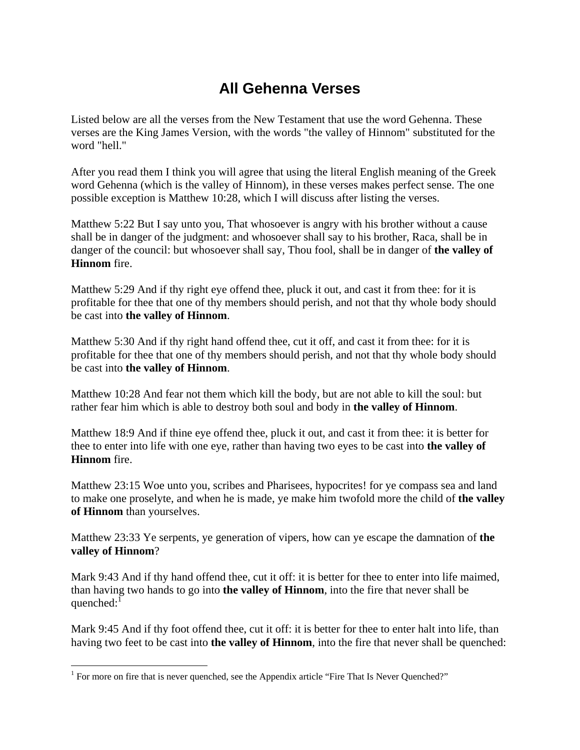## **All Gehenna Verses**

Listed below are all the verses from the New Testament that use the word Gehenna. These verses are the King James Version, with the words "the valley of Hinnom" substituted for the word "hell."

After you read them I think you will agree that using the literal English meaning of the Greek word Gehenna (which is the valley of Hinnom), in these verses makes perfect sense. The one possible exception is Matthew 10:28, which I will discuss after listing the verses.

Matthew 5:22 But I say unto you, That whosoever is angry with his brother without a cause shall be in danger of the judgment: and whosoever shall say to his brother, Raca, shall be in danger of the council: but whosoever shall say, Thou fool, shall be in danger of **the valley of Hinnom** fire.

Matthew 5:29 And if thy right eye offend thee, pluck it out, and cast it from thee: for it is profitable for thee that one of thy members should perish, and not that thy whole body should be cast into **the valley of Hinnom**.

Matthew 5:30 And if thy right hand offend thee, cut it off, and cast it from thee: for it is profitable for thee that one of thy members should perish, and not that thy whole body should be cast into **the valley of Hinnom**.

Matthew 10:28 And fear not them which kill the body, but are not able to kill the soul: but rather fear him which is able to destroy both soul and body in **the valley of Hinnom**.

Matthew 18:9 And if thine eye offend thee, pluck it out, and cast it from thee: it is better for thee to enter into life with one eye, rather than having two eyes to be cast into **the valley of Hinnom** fire.

Matthew 23:15 Woe unto you, scribes and Pharisees, hypocrites! for ye compass sea and land to make one proselyte, and when he is made, ye make him twofold more the child of **the valley of Hinnom** than yourselves.

Matthew 23:33 Ye serpents, ye generation of vipers, how can ye escape the damnation of **the valley of Hinnom**?

Mark 9:43 And if thy hand offend thee, cut it off: it is better for thee to enter into life maimed, than having two hands to go into **the valley of Hinnom**, into the fire that never shall be quenched: $1$ 

Mark 9:45 And if thy foot offend thee, cut it off: it is better for thee to enter halt into life, than having two feet to be cast into **the valley of Hinnom**, into the fire that never shall be quenched:

 $\overline{a}$ 

<sup>&</sup>lt;sup>1</sup> For more on fire that is never quenched, see the Appendix article "Fire That Is Never Quenched?"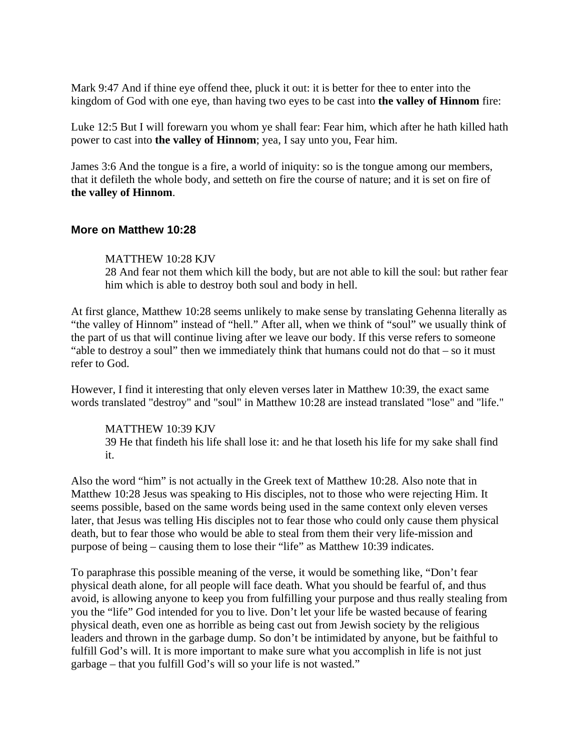Mark 9:47 And if thine eye offend thee, pluck it out: it is better for thee to enter into the kingdom of God with one eye, than having two eyes to be cast into **the valley of Hinnom** fire:

Luke 12:5 But I will forewarn you whom ye shall fear: Fear him, which after he hath killed hath power to cast into **the valley of Hinnom**; yea, I say unto you, Fear him.

James 3:6 And the tongue is a fire, a world of iniquity: so is the tongue among our members, that it defileth the whole body, and setteth on fire the course of nature; and it is set on fire of **the valley of Hinnom**.

## **More on Matthew 10:28**

## MATTHEW 10:28 KJV

28 And fear not them which kill the body, but are not able to kill the soul: but rather fear him which is able to destroy both soul and body in hell.

At first glance, Matthew 10:28 seems unlikely to make sense by translating Gehenna literally as "the valley of Hinnom" instead of "hell." After all, when we think of "soul" we usually think of the part of us that will continue living after we leave our body. If this verse refers to someone "able to destroy a soul" then we immediately think that humans could not do that – so it must refer to God.

However, I find it interesting that only eleven verses later in Matthew 10:39, the exact same words translated "destroy" and "soul" in Matthew 10:28 are instead translated "lose" and "life."

## MATTHEW 10:39 KJV 39 He that findeth his life shall lose it: and he that loseth his life for my sake shall find it.

Also the word "him" is not actually in the Greek text of Matthew 10:28. Also note that in Matthew 10:28 Jesus was speaking to His disciples, not to those who were rejecting Him. It seems possible, based on the same words being used in the same context only eleven verses later, that Jesus was telling His disciples not to fear those who could only cause them physical death, but to fear those who would be able to steal from them their very life-mission and purpose of being – causing them to lose their "life" as Matthew 10:39 indicates.

To paraphrase this possible meaning of the verse, it would be something like, "Don't fear physical death alone, for all people will face death. What you should be fearful of, and thus avoid, is allowing anyone to keep you from fulfilling your purpose and thus really stealing from you the "life" God intended for you to live. Don't let your life be wasted because of fearing physical death, even one as horrible as being cast out from Jewish society by the religious leaders and thrown in the garbage dump. So don't be intimidated by anyone, but be faithful to fulfill God's will. It is more important to make sure what you accomplish in life is not just garbage – that you fulfill God's will so your life is not wasted."